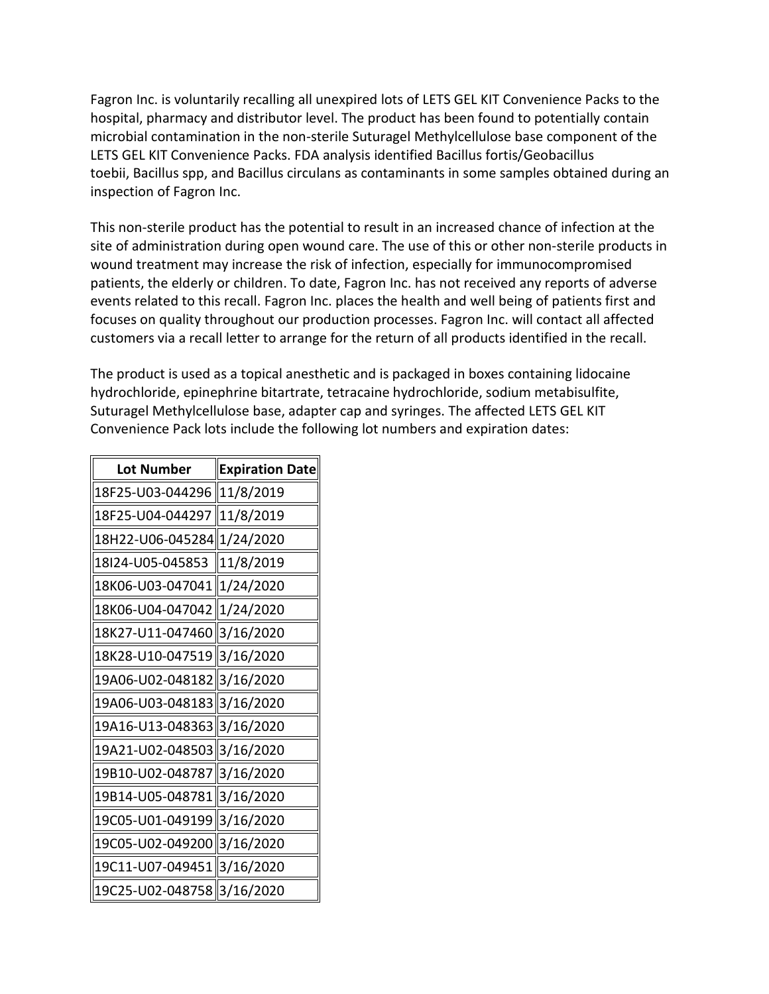hospital, pharmacy and distributor level. The product has been found to potentially contain microbial contamination in the non-sterile Suturagel Methylcellulose base component of the toebii, Bacillus spp, and Bacillus circulans as contaminants in some samples obtained during an Fagron Inc. is voluntarily recalling all unexpired lots of LETS GEL KIT Convenience Packs to the LETS GEL KIT Convenience Packs. FDA analysis identified Bacillus fortis/Geobacillus inspection of Fagron Inc.

 This non-sterile product has the potential to result in an increased chance of infection at the site of administration during open wound care. The use of this or other non-sterile products in events related to this recall. Fagron Inc. places the health and well being of patients first and focuses on quality throughout our production processes. Fagron Inc. will contact all affected wound treatment may increase the risk of infection, especially for immunocompromised patients, the elderly or children. To date, Fagron Inc. has not received any reports of adverse customers via a recall letter to arrange for the return of all products identified in the recall.

 The product is used as a topical anesthetic and is packaged in boxes containing lidocaine hydrochloride, epinephrine bitartrate, tetracaine hydrochloride, sodium metabisulfite, Suturagel Methylcellulose base, adapter cap and syringes. The affected LETS GEL KIT Convenience Pack lots include the following lot numbers and expiration dates:

| <b>Lot Number</b>            | <b>Expiration Date</b> |
|------------------------------|------------------------|
| 18F25-U03-044296   11/8/2019 |                        |
| 18F25-U04-044297             | 11/8/2019              |
| 18H22-U06-045284 1/24/2020   |                        |
| 18I24-U05-045853             | 11/8/2019              |
| 18K06-U03-047041             | $\ 1/24/2020$          |
| 18K06-U04-047042 1/24/2020   |                        |
| 18K27-U11-047460 3/16/2020   |                        |
| 18K28-U10-047519 3/16/2020   |                        |
| 19A06-U02-0481823/16/2020    |                        |
| 19A06-U03-048183 3/16/2020   |                        |
| 19A16-U13-048363 3/16/2020   |                        |
| 19A21-U02-048503 3/16/2020   |                        |
| 19B10-U02-048787  3/16/2020  |                        |
| 19B14-U05-048781 3/16/2020   |                        |
| 19C05-U01-049199 3/16/2020   |                        |
| 19C05-U02-049200 3/16/2020   |                        |
| 19C11-U07-049451 3/16/2020   |                        |
| 19C25-U02-048758 3/16/2020   |                        |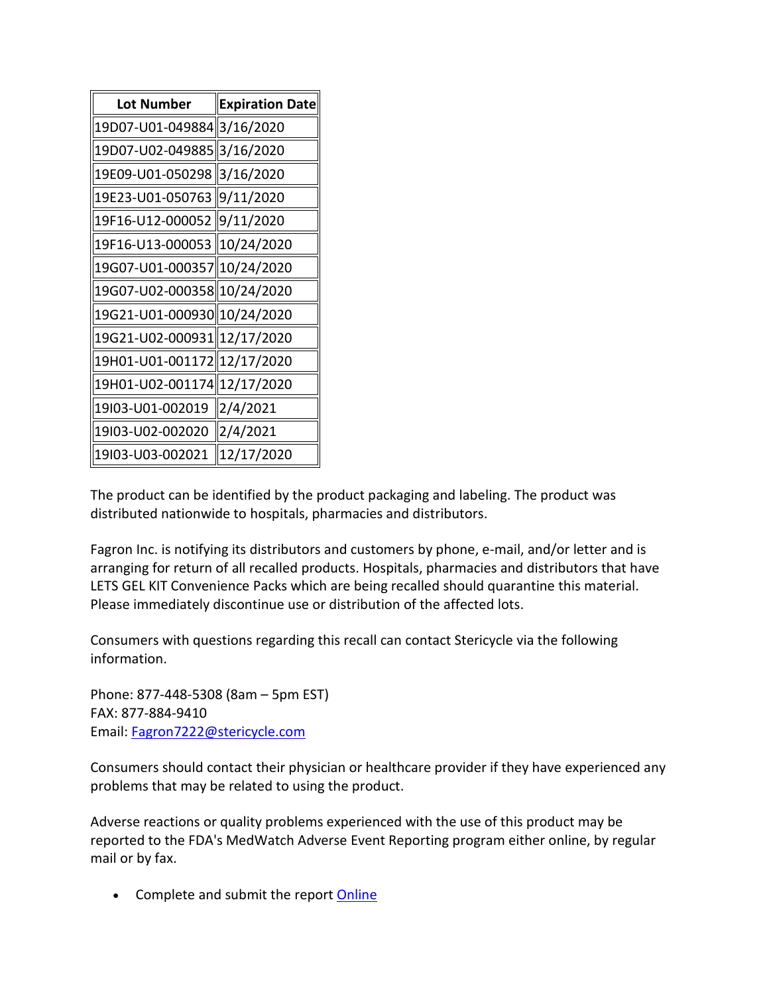| <b>Lot Number</b>            | <b>Expiration Date</b> |
|------------------------------|------------------------|
| 19D07-U01-049884 3/16/2020   |                        |
| 19D07-U02-049885 3/16/2020   |                        |
| 19E09-U01-050298 3/16/2020   |                        |
| 19E23-U01-050763 9/11/2020   |                        |
| 19F16-U12-000052 9/11/2020   |                        |
| 19F16-U13-000053 10/24/2020  |                        |
| 19G07-U01-000357  10/24/2020 |                        |
| 19G07-U02-000358  10/24/2020 |                        |
| 19G21-U01-000930 10/24/2020  |                        |
| 19G21-U02-000931  12/17/2020 |                        |
| 19H01-U01-001172  12/17/2020 |                        |
| 19H01-U02-001174  12/17/2020 |                        |
| 19l03-U01-002019             | 2/4/2021               |
| 19l03-U02-002020             | 2/4/2021               |
| 19l03-U03-002021             | 12/17/2020             |

 distributed nationwide to hospitals, pharmacies and distributors. The product can be identified by the product packaging and labeling. The product was

Fagron Inc. is notifying its distributors and customers by phone, e-mail, and/or letter and is arranging for return of all recalled products. Hospitals, pharmacies and distributors that have LETS GEL KIT Convenience Packs which are being recalled should quarantine this material. Please immediately discontinue use or distribution of the affected lots.

Consumers with questions regarding this recall can contact Stericycle via the following information.

 Phone: 877-448-5308 (8am – 5pm EST) FAX: 877-884-9410 Email: [Fagron7222@stericycle.com](mailto:Fagron7222@stericycle.com) 

Consumers should contact their physician or healthcare provider if they have experienced any problems that may be related to using the product.

 Adverse reactions or quality problems experienced with the use of this product may be reported to the FDA's MedWatch Adverse Event Reporting program either online, by regular mail or by fax.

• Complete and submit the report **Online**